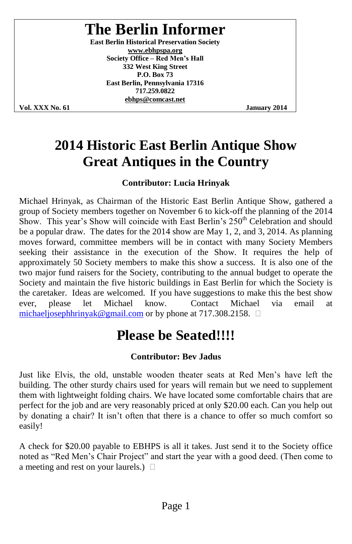# **The Berlin Informer**

**East Berlin Historical Preservation Society www.ebhpspa.org Society Office - Red Men's Hall 332 West King Street P.O. Box 73 East Berlin, Pennsylvania 17316 717.259.0822 ebhps@comcast.net**

**Vol. XXX No. 61 January 2014**

### **2014 Historic East Berlin Antique Show Great Antiques in the Country**

#### **Contributor: Lucia Hrinyak**

Michael Hrinyak, as Chairman of the Historic East Berlin Antique Show, gathered a group of Society members together on November 6 to kick-off the planning of the 2014 Show. This year's Show will coincide with East Berlin's 250<sup>th</sup> Celebration and should be a popular draw. The dates for the 2014 show are May 1, 2, and 3, 2014. As planning moves forward, committee members will be in contact with many Society Members seeking their assistance in the execution of the Show. It requires the help of approximately 50 Society members to make this show a success. It is also one of the two major fund raisers for the Society, contributing to the annual budget to operate the Society and maintain the five historic buildings in East Berlin for which the Society is the caretaker. Ideas are welcomed. If you have suggestions to make this the best show ever, please let Michael know. Contact Michael via email at michaeljosephhrinyak@gmail.com or by phone at 717.308.2158.  $\Box$ 

## **Please be Seated!!!!**

#### **Contributor: Bev Jadus**

Just like Elvis, the old, unstable wooden theater seats at Red Men's have left the building. The other sturdy chairs used for years will remain but we need to supplement them with lightweight folding chairs. We have located some comfortable chairs that are perfect for the job and are very reasonably priced at only \$20.00 each. Can you help out by donating a chair? It isn't often that there is a chance to offer so much comfort so easily!

A check for \$20.00 payable to EBHPS is all it takes. Just send it to the Society office noted as "Red Men's Chair Project" and start the year with a good deed. (Then come to a meeting and rest on your laurels.)  $\Box$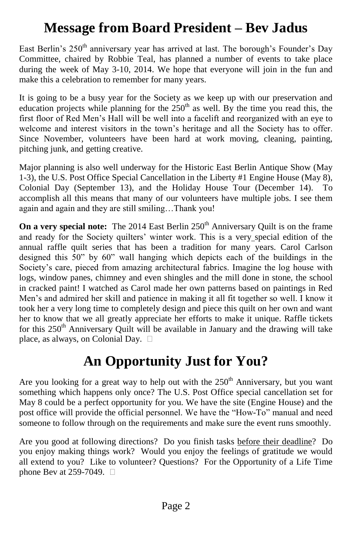## **Message from Board President –Bev Jadus**

East Berlin's 250<sup>th</sup> anniversary year has arrived at last. The borough's Founder's Day Committee, chaired by Robbie Teal, has planned a number of events to take place during the week of May 3-10, 2014. We hope that everyone will join in the fun and make this a celebration to remember for many years.

It is going to be a busy year for the Society as we keep up with our preservation and education projects while planning for the  $250<sup>th</sup>$  as well. By the time you read this, the first floor of Red Men's Hall will be well into a facelift and reorganized with an eye to welcome and interest visitors in the town's heritage and all the Society has to offer. Since November, volunteers have been hard at work moving, cleaning, painting, pitching junk, and getting creative.

Major planning is also well underway for the Historic East Berlin Antique Show (May 1-3), the U.S. Post Office Special Cancellation in the Liberty #1 Engine House (May 8), Colonial Day (September 13), and the Holiday House Tour (December 14). To accomplish all this means that many of our volunteers have multiple jobs. I see them again and again and they are still smiling...Thank you!

**On a very special note:** The 2014 East Berlin 250<sup>th</sup> Anniversary Quilt is on the frame and ready for the Society quilters' winter work. This is a very special edition of the annual raffle quilt series that has been a tradition for many years. Carol Carlson designed this  $50$ " by  $60$ " wall hanging which depicts each of the buildings in the Society's care, pieced from amazing architectural fabrics. Imagine the log house with logs, window panes, chimney and even shingles and the mill done in stone, the school in cracked paint! I watched as Carol made her own patterns based on paintings in Red Men's and admired her skill and patience in making it all fit together so well. I know it took her a very long time to completely design and piece this quilt on her own and want her to know that we all greatly appreciate her efforts to make it unique. Raffle tickets for this  $250<sup>th</sup>$  Anniversary Quilt will be available in January and the drawing will take place, as always, on Colonial Day.

## **An Opportunity Just for You?**

Are you looking for a great way to help out with the  $250<sup>th</sup>$  Anniversary, but you want something which happens only once? The U.S. Post Office special cancellation set for May 8 could be a perfect opportunity for you. We have the site (Engine House) and the post office will provide the official personnel. We have the "How-To" manual and need someone to follow through on the requirements and make sure the event runs smoothly.

Are you good at following directions? Do you finish tasks before their deadline? Do you enjoy making things work? Would you enjoy the feelings of gratitude we would all extend to you? Like to volunteer? Questions? For the Opportunity of a Life Time phone Bev at 259-7049.  $\Box$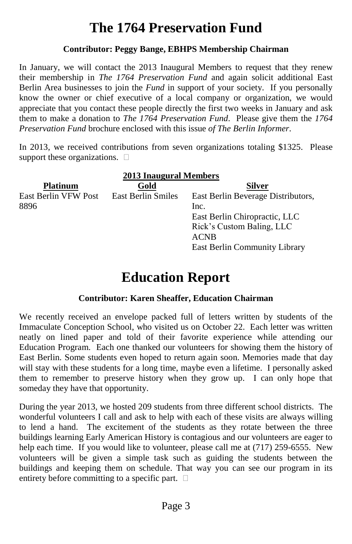# **The 1764 Preservation Fund**

#### **Contributor: Peggy Bange, EBHPS Membership Chairman**

In January, we will contact the 2013 Inaugural Members to request that they renew their membership in *The 1764 Preservation Fund* and again solicit additional East Berlin Area businesses to join the *Fund* in support of your society. If you personally know the owner or chief executive of a local company or organization, we would appreciate that you contact these people directly the first two weeks in January and ask them to make a donation to *The 1764 Preservation Fund*. Please give them the *1764 Preservation Fund* brochure enclosed with this issue *of The Berlin Informer*.

In 2013, we received contributions from seven organizations totaling \$1325. Please support these organizations.  $\Box$ 

| <b>2013 Inaugural Members</b> |                           |                                    |  |  |  |
|-------------------------------|---------------------------|------------------------------------|--|--|--|
| <b>Platinum</b>               | Gold                      | <b>Silver</b>                      |  |  |  |
| East Berlin VFW Post          | <b>East Berlin Smiles</b> | East Berlin Beverage Distributors, |  |  |  |
| 8896                          |                           | Inc.                               |  |  |  |
|                               |                           | East Berlin Chiropractic, LLC      |  |  |  |
|                               |                           | Rick's Custom Baling, LLC          |  |  |  |
|                               |                           | <b>ACNB</b>                        |  |  |  |
|                               |                           | East Berlin Community Library      |  |  |  |

### **Education Report**

#### **Contributor: Karen Sheaffer, Education Chairman**

We recently received an envelope packed full of letters written by students of the Immaculate Conception School, who visited us on October 22. Each letter was written neatly on lined paper and told of their favorite experience while attending our Education Program. Each one thanked our volunteers for showing them the history of East Berlin. Some students even hoped to return again soon. Memories made that day will stay with these students for a long time, maybe even a lifetime. I personally asked them to remember to preserve history when they grow up. I can only hope that someday they have that opportunity.

During the year 2013, we hosted 209 students from three different school districts. The wonderful volunteers I call and ask to help with each of these visits are always willing to lend a hand. The excitement of the students as they rotate between the three buildings learning Early American History is contagious and our volunteers are eager to help each time. If you would like to volunteer, please call me at (717) 259-6555. New volunteers will be given a simple task such as guiding the students between the buildings and keeping them on schedule. That way you can see our program in its entirety before committing to a specific part.  $\square$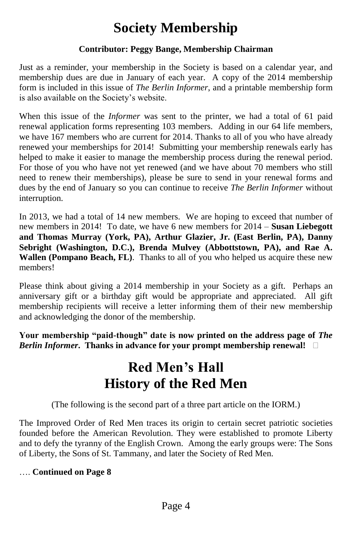## **Society Membership**

#### **Contributor: Peggy Bange, Membership Chairman**

Just as a reminder, your membership in the Society is based on a calendar year, and membership dues are due in January of each year. A copy of the 2014 membership form is included in this issue of *The Berlin Informer*, and a printable membership form is also available on the Society's website.

When this issue of the *Informer* was sent to the printer, we had a total of 61 paid renewal application forms representing 103 members. Adding in our 64 life members, we have 167 members who are current for 2014. Thanks to all of you who have already renewed your memberships for 2014! Submitting your membership renewals early has helped to make it easier to manage the membership process during the renewal period. For those of you who have not yet renewed (and we have about 70 members who still need to renew their memberships), please be sure to send in your renewal forms and dues by the end of January so you can continue to receive *The Berlin Informer* without interruption.

In 2013, we had a total of 14 new members. We are hoping to exceed that number of new members in 2014! To date, we have 6 new members for 2014 –**Susan Liebegott and Thomas Murray (York, PA), Arthur Glazier, Jr. (East Berlin, PA), Danny Sebright (Washington, D.C.), Brenda Mulvey (Abbottstown, PA), and Rae A. Wallen (Pompano Beach, FL)**. Thanks to all of you who helped us acquire these new members!

Please think about giving a 2014 membership in your Society as a gift. Perhaps an anniversary gift or a birthday gift would be appropriate and appreciated. All gift membership recipients will receive a letter informing them of their new membership and acknowledging the donor of the membership.

Your membership "paid-though" date is now printed on the address page of The *Berlin Informer***. Thanks in advance for your prompt membership renewal!**

### **Red Men's Hall History of the Red Men**

(The following is the second part of a three part article on the IORM.)

The Improved Order of Red Men traces its origin to certain secret patriotic societies founded before the American Revolution. They were established to promote Liberty and to defy the tyranny of the English Crown. Among the early groups were: The Sons of Liberty, the Sons of St. Tammany, and later the Society of Red Men.

#### ….**Continued on Page 8**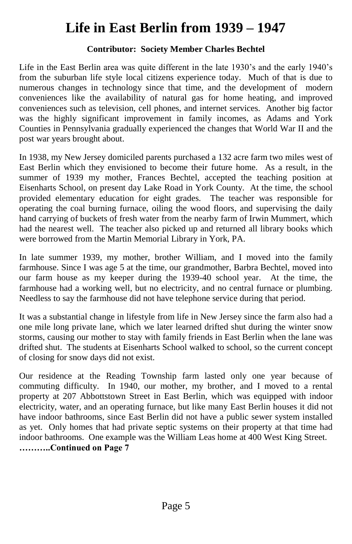## **Life in East Berlin from 1939 –1947**

#### **Contributor: Society Member Charles Bechtel**

Life in the East Berlin area was quite different in the late 1930's and the early 1940's from the suburban life style local citizens experience today. Much of that is due to numerous changes in technology since that time, and the development of modern conveniences like the availability of natural gas for home heating, and improved conveniences such as television, cell phones, and internet services. Another big factor was the highly significant improvement in family incomes, as Adams and York Counties in Pennsylvania gradually experienced the changes that World War II and the post war years brought about.

In 1938, my New Jersey domiciled parents purchased a 132 acre farm two miles west of East Berlin which they envisioned to become their future home. As a result, in the summer of 1939 my mother, Frances Bechtel, accepted the teaching position at Eisenharts School, on present day Lake Road in York County. At the time, the school provided elementary education for eight grades. The teacher was responsible for operating the coal burning furnace, oiling the wood floors, and supervising the daily hand carrying of buckets of fresh water from the nearby farm of Irwin Mummert, which had the nearest well. The teacher also picked up and returned all library books which were borrowed from the Martin Memorial Library in York, PA.

In late summer 1939, my mother, brother William, and I moved into the family farmhouse. Since I was age 5 at the time, our grandmother, Barbra Bechtel, moved into our farm house as my keeper during the 1939-40 school year. At the time, the farmhouse had a working well, but no electricity, and no central furnace or plumbing. Needless to say the farmhouse did not have telephone service during that period.

It was a substantial change in lifestyle from life in New Jersey since the farm also had a one mile long private lane, which we later learned drifted shut during the winter snow storms, causing our mother to stay with family friends in East Berlin when the lane was drifted shut. The students at Eisenharts School walked to school, so the current concept of closing for snow days did not exist.

Our residence at the Reading Township farm lasted only one year because of commuting difficulty. In 1940, our mother, my brother, and I moved to a rental property at 207 Abbottstown Street in East Berlin, which was equipped with indoor electricity, water, and an operating furnace, but like many East Berlin houses it did not have indoor bathrooms, since East Berlin did not have a public sewer system installed as yet. Only homes that had private septic systems on their property at that time had indoor bathrooms. One example was the William Leas home at 400 West King Street. **………..ContinuedonPage7**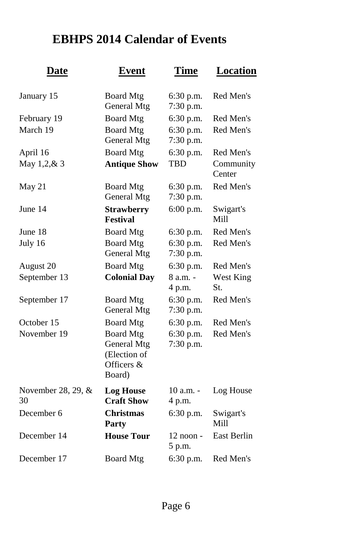### **EBHPS 2014 Calendar of Events**

| <u>Date</u>              | <b>Event</b>                                                            | <b>Time</b>              | Location            |
|--------------------------|-------------------------------------------------------------------------|--------------------------|---------------------|
| January 15               | <b>Board Mtg</b><br>General Mtg                                         | 6:30 p.m.<br>7:30 p.m.   | Red Men's           |
| February 19              | <b>Board Mtg</b>                                                        | 6:30 p.m.                | Red Men's           |
| March 19                 | <b>Board Mtg</b><br>General Mtg                                         | 6:30 p.m.<br>7:30 p.m.   | Red Men's           |
| April 16                 | <b>Board Mtg</b>                                                        | 6:30 p.m.                | Red Men's           |
| May 1,2,& 3              | <b>Antique Show</b>                                                     | TRD                      | Community<br>Center |
| May 21                   | <b>Board Mtg</b><br>General Mtg                                         | $6:30$ p.m.<br>7:30 p.m. | Red Men's           |
| June 14                  | <b>Strawberry</b><br><b>Festival</b>                                    | 6:00 p.m.                | Swigart's<br>Mill   |
| June 18                  | <b>Board Mtg</b>                                                        | 6:30 p.m.                | Red Men's           |
| July 16                  | <b>Board Mtg</b><br>General Mtg                                         | 6:30 p.m.<br>7:30 p.m.   | Red Men's           |
| August 20                | <b>Board Mtg</b>                                                        | 6:30 p.m.                | Red Men's           |
| September 13             | <b>Colonial Day</b>                                                     | 8 a.m. -<br>4 p.m.       | West King<br>St.    |
| September 17             | <b>Board Mtg</b><br>General Mtg                                         | 6:30 p.m.<br>7:30 p.m.   | Red Men's           |
| October 15               | <b>Board Mtg</b>                                                        | 6:30 p.m.                | Red Men's           |
| November 19              | <b>Board Mtg</b><br>General Mtg<br>(Election of<br>Officers &<br>Board) | 6:30 p.m.<br>7:30 p.m.   | Red Men's           |
| November 28, 29, &<br>30 | <b>Log House</b><br><b>Craft Show</b>                                   | 10 a.m. -<br>4 p.m.      | Log House           |
| December 6               | Christmas<br><b>Party</b>                                               | 6:30 p.m.                | Swigart's<br>Mill   |
| December 14              | <b>House Tour</b>                                                       | 12 noon -<br>5 p.m.      | <b>East Berlin</b>  |
| December 17              | <b>Board Mtg</b>                                                        | 6:30 p.m.                | Red Men's           |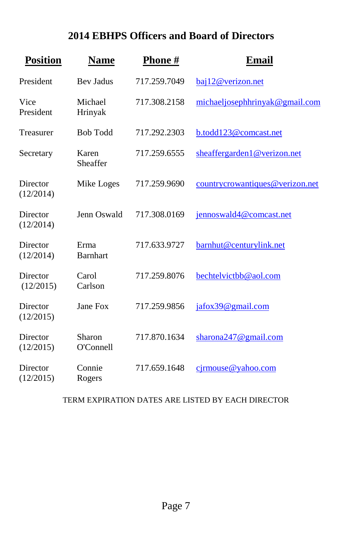### **2014 EBHPS Officers and Board of Directors**

| <b>Position</b>       | <b>Name</b>             | Phone#       | Email                           |
|-----------------------|-------------------------|--------------|---------------------------------|
| President             | <b>Bev Jadus</b>        | 717.259.7049 | baj12@verizon.net               |
| Vice<br>President     | Michael<br>Hrinyak      | 717.308.2158 | michaeljosephhrinyak@gmail.com  |
| Treasurer             | <b>Bob Todd</b>         | 717.292.2303 | b.todd123@comcast.net           |
| Secretary             | Karen<br>Sheaffer       | 717.259.6555 | sheaffergarden1@verizon.net     |
| Director<br>(12/2014) | Mike Loges              | 717.259.9690 | countrycrowantiques@verizon.net |
| Director<br>(12/2014) | Jenn Oswald             | 717.308.0169 | jennoswald4@comcast.net         |
| Director<br>(12/2014) | Erma<br><b>Barnhart</b> | 717.633.9727 | barnhut@centurylink.net         |
| Director<br>(12/2015) | Carol<br>Carlson        | 717.259.8076 | bechtelvictbb@aol.com           |
| Director<br>(12/2015) | Jane Fox                | 717.259.9856 | jafox39@gmail.com               |
| Director<br>(12/2015) | Sharon<br>O'Connell     | 717.870.1634 | sharona247@gmail.com            |
| Director<br>(12/2015) | Connie<br>Rogers        | 717.659.1648 | $c$ irmouse@yahoo.com           |

#### TERM EXPIRATION DATES ARE LISTED BY EACH DIRECTOR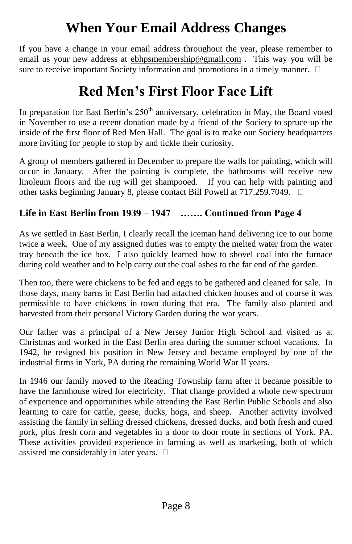## **When Your Email Address Changes**

If you have a change in your email address throughout the year, please remember to email us your new address at ebhpsmembership@gmail.com . This way you will be sure to receive important Society information and promotions in a timely manner.  $\Box$ 

## **Red Men's First Floor Face Lift**

In preparation for East Berlin's  $250<sup>th</sup>$  anniversary, celebration in May, the Board voted in November to use a recent donation made by a friend of the Society to spruce-up the inside of the first floor of Red Men Hall. The goal is to make our Society headquarters more inviting for people to stop by and tickle their curiosity.

A group of members gathered in December to prepare the walls for painting, which will occur in January. After the painting is complete, the bathrooms will receive new linoleum floors and the rug will get shampooed. If you can help with painting and other tasks beginning January 8, please contact Bill Powell at 717.259.7049.

#### Life in East Berlin from 1939 – 1947 ....... Continued from Page 4

As we settled in East Berlin, I clearly recall the iceman hand delivering ice to our home twice a week. One of my assigned duties was to empty the melted water from the water tray beneath the ice box. I also quickly learned how to shovel coal into the furnace during cold weather and to help carry out the coal ashes to the far end of the garden.

Then too, there were chickens to be fed and eggs to be gathered and cleaned for sale. In those days, many barns in East Berlin had attached chicken houses and of course it was permissible to have chickens in town during that era. The family also planted and harvested from their personal Victory Garden during the war years.

Our father was a principal of a New Jersey Junior High School and visited us at Christmas and worked in the East Berlin area during the summer school vacations. In 1942, he resigned his position in New Jersey and became employed by one of the industrial firms in York, PA during the remaining World War II years.

In 1946 our family moved to the Reading Township farm after it became possible to have the farmhouse wired for electricity. That change provided a whole new spectrum of experience and opportunities while attending the East Berlin Public Schools and also learning to care for cattle, geese, ducks, hogs, and sheep. Another activity involved assisting the family in selling dressed chickens, dressed ducks, and both fresh and cured pork, plus fresh corn and vegetables in a door to door route in sections of York. PA. These activities provided experience in farming as well as marketing, both of which assisted me considerably in later years.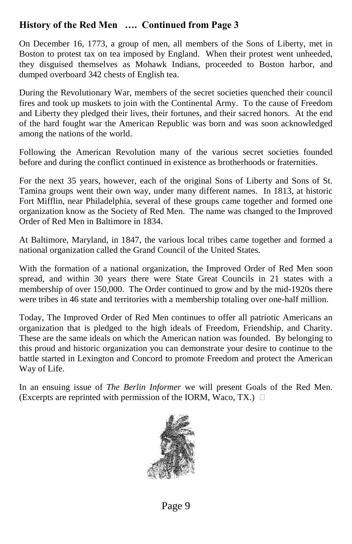#### **History of the Red Men** .... Continued from Page 3

On December 16, 1773, a group of men, all members of the Sons of Liberty, met in Boston to protest tax on tea imposed by England. When their protest went unheeded, they disguised themselves as Mohawk Indians, proceeded to Boston harbor, and dumped overboard 342 chests of English tea.

During the Revolutionary War, members of the secret societies quenched their council fires and took up muskets to join with the Continental Army. To the cause of Freedom and Liberty they pledged their lives, their fortunes, and their sacred honors. At the end of the hard fought war the American Republic was born and was soon acknowledged among the nations of the world.

Following the American Revolution many of the various secret societies founded before and during the conflict continued in existence as brotherhoods or fraternities.

For the next 35 years, however, each of the original Sons of Liberty and Sons of St. Tamina groups went their own way, under many different names. In 1813, at historic Fort Mifflin, near Philadelphia, several of these groups came together and formed one organization know as the Society of Red Men. The name was changed to the Improved Order of Red Men in Baltimore in 1834.

At Baltimore, Maryland, in 1847, the various local tribes came together and formed a national organization called the Grand Council of the United States.

With the formation of a national organization, the Improved Order of Red Men soon spread, and within 30 years there were State Great Councils in 21 states with a membership of over 150,000. The Order continued to grow and by the mid-1920s there were tribes in 46 state and territories with a membership totaling over one-half million.

Today, The Improved Order of Red Men continues to offer all patriotic Americans an organization that is pledged to the high ideals of Freedom, Friendship, and Charity. These are the same ideals on which the American nation was founded. By belonging to this proud and historic organization you can demonstrate your desire to continue to the battle started in Lexington and Concord to promote Freedom and protect the American Way of Life.

In an ensuing issue of *The Berlin Informer* we will present Goals of the Red Men. (Excerpts are reprinted with permission of the IORM, Waco, TX.)  $\Box$